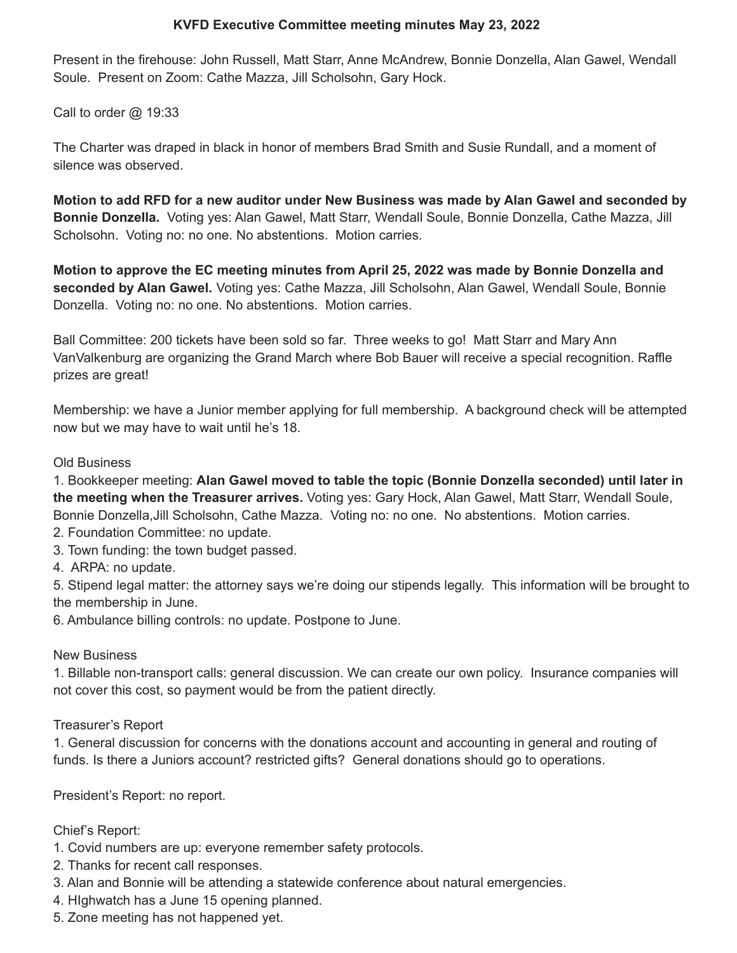## **KVFD Executive Committee meeting minutes May 23, 2022**

Present in the firehouse: John Russell, Matt Starr, Anne McAndrew, Bonnie Donzella, Alan Gawel, Wendall Soule. Present on Zoom: Cathe Mazza, Jill Scholsohn, Gary Hock.

Call to order @ 19:33

The Charter was draped in black in honor of members Brad Smith and Susie Rundall, and a moment of silence was observed.

Motion to add RFD for a new auditor under New Business was made by Alan Gawel and seconded by **Bonnie Donzella.** Voting yes: Alan Gawel, Matt Starr, Wendall Soule, Bonnie Donzella, Cathe Mazza, Jill Scholsohn. Voting no: no one. No abstentions. Motion carries.

**Motion to approve the EC meeting minutes from April 25, 2022 was made by Bonnie Donzella and seconded by Alan Gawel.** Voting yes: Cathe Mazza, Jill Scholsohn, Alan Gawel, Wendall Soule, Bonnie Donzella. Voting no: no one. No abstentions. Motion carries.

Ball Committee: 200 tickets have been sold so far. Three weeks to go! Matt Starr and Mary Ann VanValkenburg are organizing the Grand March where Bob Bauer will receive a special recognition. Raffle prizes are great!

Membership: we have a Junior member applying for full membership. A background check will be attempted now but we may have to wait until he's 18.

#### Old Business

1. Bookkeeper meeting: **Alan Gawel moved to table the topic (Bonnie Donzella seconded) until later in the meeting when the Treasurer arrives.** Voting yes: Gary Hock, Alan Gawel, Matt Starr, Wendall Soule, Bonnie Donzella,Jill Scholsohn, Cathe Mazza. Voting no: no one. No abstentions. Motion carries.

- 2. Foundation Committee: no update.
- 3. Town funding: the town budget passed.
- 4. ARPA: no update.

5. Stipend legal matter: the attorney says we're doing our stipends legally. This information will be brought to the membership in June.

6. Ambulance billing controls: no update. Postpone to June.

#### New Business

1. Billable non-transport calls: general discussion. We can create our own policy. Insurance companies will not cover this cost, so payment would be from the patient directly.

## Treasurer's Report

1. General discussion for concerns with the donations account and accounting in general and routing of funds. Is there a Juniors account? restricted gifts? General donations should go to operations.

President's Report: no report.

## Chief's Report:

- 1. Covid numbers are up: everyone remember safety protocols.
- 2. Thanks for recent call responses.
- 3. Alan and Bonnie will be attending a statewide conference about natural emergencies.
- 4. HIghwatch has a June 15 opening planned.
- 5. Zone meeting has not happened yet.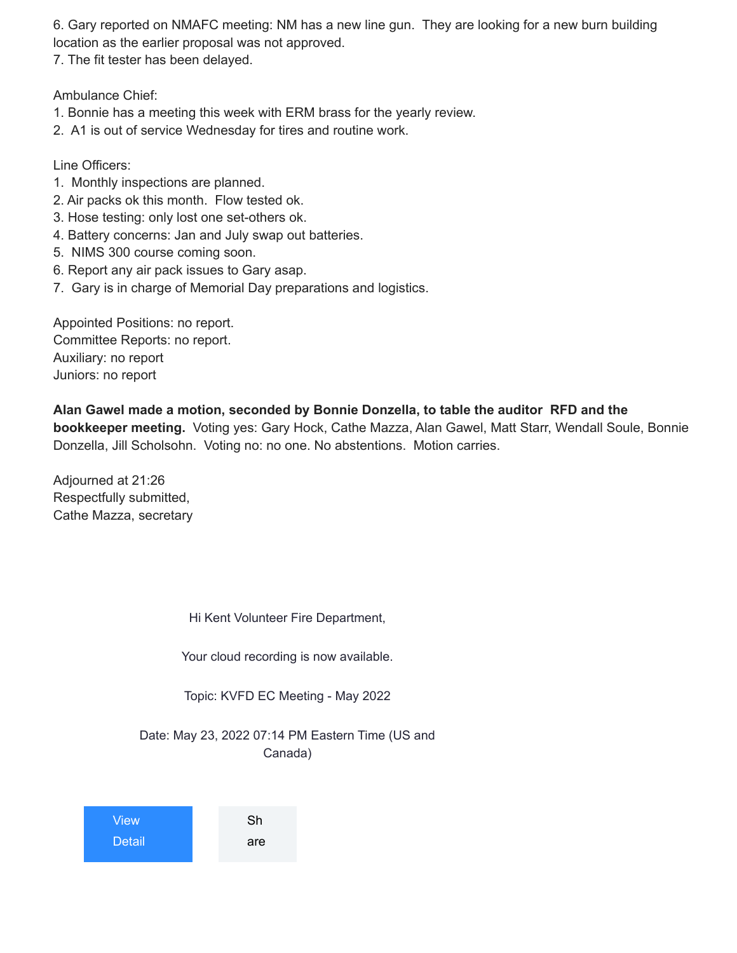6. Gary reported on NMAFC meeting: NM has a new line gun. They are looking for a new burn building location as the earlier proposal was not approved.

7. The fit tester has been delayed.

Ambulance Chief:

- 1. Bonnie has a meeting this week with ERM brass for the yearly review.
- 2. A1 is out of service Wednesday for tires and routine work.

Line Officers:

- 1. Monthly inspections are planned.
- 2. Air packs ok this month. Flow tested ok.
- 3. Hose testing: only lost one set-others ok.
- 4. Battery concerns: Jan and July swap out batteries.
- 5. NIMS 300 course coming soon.
- 6. Report any air pack issues to Gary asap.
- 7. Gary is in charge of Memorial Day preparations and logistics.

Appointed Positions: no report. Committee Reports: no report. Auxiliary: no report Juniors: no report

# **Alan Gawel made a motion, seconded by Bonnie Donzella, to table the auditor RFD and the**

**bookkeeper meeting.** Voting yes: Gary Hock, Cathe Mazza, Alan Gawel, Matt Starr, Wendall Soule, Bonnie Donzella, Jill Scholsohn. Voting no: no one. No abstentions. Motion carries.

Adjourned at 21:26 Respectfully submitted, Cathe Mazza, secretary

Hi Kent Volunteer Fire Department,

Your cloud recording is now available.

Topic: KVFD EC Meeting - May 2022

Date: May 23, 2022 07:14 PM Eastern Time (US and Canada)

| <b>View</b>   | Sh  |  |
|---------------|-----|--|
| <b>Detail</b> | are |  |